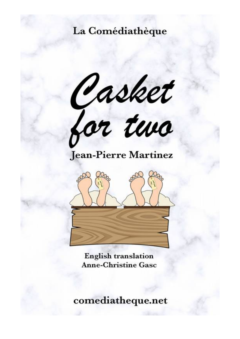# La Comédiathèque

Casket<br>for two



# **Jean-Pierre Martinez**



**English translation Anne-Christine Gasc** 

## comediatheque.net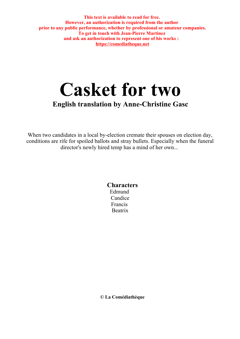**This text is available to read for free. However, an authorization is required from the author prior to any public performance, whether by professional or amateur companies. To get in touch with Jean-Pierre Martinez and ask an authorization to represent one of his works : https://comediatheque.net**

# **Casket for two**

## **English translation by Anne-Christine Gasc**

When two candidates in a local by-election cremate their spouses on election day, conditions are rife for spoiled ballots and stray bullets. Especially when the funeral director's newly hired temp has a mind of her own...

> **Characters** Edmund Candice Francis **Beatrix**

**© La Comédiathèque**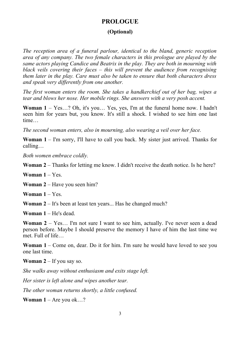#### **PROLOGUE**

#### **(Optional)**

*The reception area of a funeral parlour, identical to the bland, generic reception area of any company. The two female characters in this prologue are played by the same actors playing Candice and Beatrix in the play. They are both in mourning with black veils covering their faces – this will prevent the audience from recognising them later in the play. Care must also be taken to ensure that both characters dress and speak very differently from one another.*

*The first woman enters the room. She takes a handkerchief out of her bag, wipes a tear and blows her nose. Her mobile rings. She answers with a very posh accent.*

**Woman 1** – Yes…? Oh, it's you… Yes, yes, I'm at the funeral home now. I hadn't seen him for years but, you know. It's still a shock. I wished to see him one last time…

*The second woman enters, also in mourning, also wearing a veil over her face.*

**Woman 1** – I'm sorry, I'll have to call you back. My sister just arrived. Thanks for calling…

*Both women embrace coldly.*

**Woman 2** – Thanks for letting me know. I didn't receive the death notice. Is he here?

**Woman 1** – Yes.

**Woman 2** – Have you seen him?

**Woman 1** – Yes.

**Woman 2** – It's been at least ten years... Has he changed much?

**Woman 1** – He's dead.

**Woman 2** – Yes… I'm not sure I want to see him, actually. I've never seen a dead person before. Maybe I should preserve the memory I have of him the last time we met. Full of life…

**Woman 1** – Come on, dear. Do it for him. I'm sure he would have loved to see you one last time.

**Woman 2** – If you say so.

*She walks away without enthusiasm and exits stage left.*

*Her sister is left alone and wipes another tear.*

*The other woman returns shortly, a little confused.*

**Woman 1** – Are you ok…?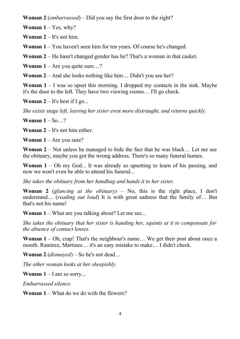**Woman 2** (*embarrassed*) – Did you say the first door to the right?

**Woman**  $1 - Yes$ **, why?** 

**Woman 2** – It's not him.

**Woman 1** – You haven't seen him for ten years. Of course he's changed.

**Woman 2** – He hasn't changed gender has he? That's a woman in that casket.

**Woman 1** – Are you quite sure…?

**Woman 2** – And she looks nothing like him… Didn't you see her?

**Woman 1** – I was so upset this morning. I dropped my contacts in the sink. Maybe it's the door to the left. They have two viewing rooms… I'll go check.

**Woman 2** – It's best if I go...

*She exists stage left, leaving her sister even more distraught, and returns quickly.*

**Woman 1** – So…?

**Woman 2** – It's not him either.

**Woman 1** – Are you sure?

**Woman 2** – Not unless he managed to hide the fact that he was black… Let me see the obituary, maybe you got the wrong address. There's so many funeral homes.

**Woman 1** – Oh my God... It was already so upsetting to learn of his passing, and now we won't even be able to attend his funeral...

*She takes the obituary from her handbag and hands it to her sister.*

**Woman 2** (*glancing at the obituary)* – No, this is the right place, I don't understand… (*reading out loud*) It is with great sadness that the family of… But that's not his name!

**Woman 1** – What are you talking about? Let me see...

*She takes the obituary that her sister is handing her, squints at it to compensate for the absence of contact lenses.*

**Woman**  $1 - Oh$ , crap! That's the neighbour's name... We get their post about once a month. Ramirez, Martinez… it's an easy mistake to make… I didn't check.

**Woman 2** (*dismayed*) – So he's not dead…

*The other woman looks at her sheepishly.*

**Woman 1** – I am so sorry...

*Embarrassed silence.*

**Woman 1** – What do we do with the flowers?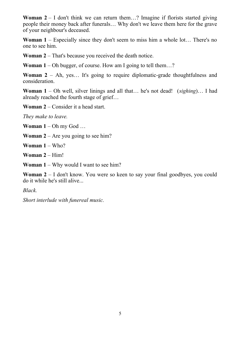**Woman 2** – I don't think we can return them…? Imagine if florists started giving people their money back after funerals… Why don't we leave them here for the grave of your neighbour's deceased.

**Woman 1** – Especially since they don't seem to miss him a whole lot… There's no one to see him.

**Woman 2** – That's because you received the death notice.

**Woman 1** – Oh bugger, of course. How am I going to tell them...?

**Woman 2** – Ah, yes… It's going to require diplomatic-grade thoughtfulness and consideration.

**Woman 1** – Oh well, silver linings and all that… he's not dead! (*sighing*)… I had already reached the fourth stage of grief…

**Woman 2** – Consider it a head start.

*They make to leave.*

**Woman 1** – Oh my God …

**Woman 2** – Are you going to see him?

**Woman 1** – Who?

**Woman 2** – Him!

**Woman 1** – Why would I want to see him?

**Woman 2** – I don't know. You were so keen to say your final goodbyes, you could do it while he's still alive...

*Black.*

*Short interlude with funereal music.*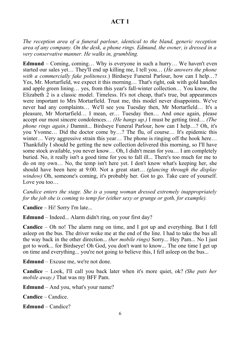#### **ACT 1**

*The reception area of a funeral parlour, identical to the bland, generic reception area of any company. On the desk, a phone rings. Edmund, the owner, is dressed in a very conservative manner. He walks in, grumbling.*

**Edmund** – Coming, coming... Why is everyone in such a hurry... We haven't even started our sales yet… They'll end up killing me, I tell you… (*He answers the phone with a commercially fake politeness.*) Birdseye Funeral Parlour, how can I help…? Yes, Mr. Mortarfield, we expect it this morning… That's right, oak with gold handles and apple green lining… yes, from this year's fall-winter collection… You know, the Elizabeth 2 is a classic model. Timeless. It's not cheap, that's true, but appearances were important to Mrs Mortarfield. Trust me, this model never disappoints. We've never had any complaints… We'll see you Tuesday then, Mr Mortarfield… It's a pleasure, Mr Mortarfield… I mean, er… Tuesday then… And once again, please accept our most sincere condolences… *(He hangs up.)* I must be getting tired… *(The phone rings again.)* Damnit... Birdseye Funeral Parlour, how can I help…? Oh, it's you Yvonne… Did the doctor come by…? The flu, of course… It's epidemic this winter… Very aggressive strain this year… The phone is ringing off the hook here… Thankfully I should be getting the new collection delivered this morning, so I'll have some stock available, you never know… Oh, I didn't mean for you… I am completely buried. No, it really isn't a good time for you to fall ill... There's too much for me to do on my own… No, the temp isn't here yet. I don't know what's keeping her, she should have been here at 9:00. Not a great start… *(glancing through the display window)* Oh, someone's coming, it's probably her. Got to go. Take care of yourself. Love you too…

*Candice enters the stage. She is a young woman dressed extremely inappropriately for the job she is coming to temp for (either sexy or grunge or goth, for example).*

**Candice** – Hi! Sorry I'm late...

**Edmund** – Indeed... Alarm didn't ring, on your first day?

**Candice** – Oh no! The alarm rang on time, and I got up and everything. But I fell asleep on the bus. The driver woke me at the end of the line. I had to take the bus all the way back in the other direction... *(her mobile rings)* Sorry... Hey Pam... No I just got to work... for Birdseye! Oh God, you don't want to know... The one time I get up on time and everything... you're not going to believe this, I fell asleep on the bus...

**Edmund** – Excuse me, we're not done.

**Candice** – Look, I'll call you back later when it's more quiet, ok? *(She puts her mobile away.)* That was my BFF Pam.

**Edmund** – And you, what's your name?

**Candice** – Candice.

**Edmund** – Candice?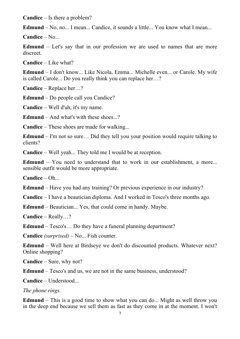**Candice** – Is there a problem?

**Edmund** – No, no... I mean... Candice, it sounds a little... You know what I mean...

**Candice** – No...

**Edmund** – Let's say that in our profession we are used to names that are more discreet.

**Candice** – Like what?

**Edmund** – I don't know... Like Nicola, Emma... Michelle even... or Carole. My wife is called Carole... Do you really think you can replace her…?

**Candice** – Replace her…?

**Edmund** – Do people call you Candice?

**Candice** – Well d'uh, it's my name.

**Edmund** – And what's with these shoes...?

**Candice** – These shoes are made for walking...

**Edmund** – I'm not so sure… Did they tell you your position would require talking to clients?

**Candice** – Well yeah... They told me I would be at reception.

**Edmund** – You need to understand that to work in our establishment, a more... sensible outfit would be more appropriate.

**Candice** – Oh...

**Edmund** – Have you had any training? Or previous experience in our industry?

**Candice** – I have a beautician diploma. And I worked in Tesco's three months ago.

**Edmund** – Beautician... Yes, that could come in handy. Maybe.

**Candice** – Really…?

**Edmund** – Tesco's… Do they have a funeral planning department?

**Candice** *(surprised)* – No... Fish counter.

**Edmund** – Well here at Birdseye we don't do discounted products. Whatever next? Online shopping?

**Candice** – Sure, why not?

**Edmund** – Tesco's and us, we are not in the same business, understood?

**Candice** – Understood...

*The phone rings.*

**Edmund** – This is a good time to show what you can do... Might as well throw you in the deep end because we sell them as fast as they come in at the moment. I won't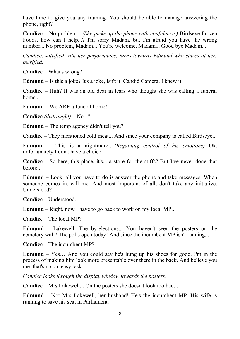have time to give you any training. You should be able to manage answering the phone, right?

**Candice** – No problem... *(She picks up the phone with confidence.)* Birdseye Frozen Foods, how can I help...? I'm sorry Madam, but I'm afraid you have the wrong number... No problem, Madam... You're welcome, Madam... Good bye Madam...

*Candice, satisfied with her performance, turns towards Edmund who stares at her, petrified.*

**Candice** – What's wrong?

**Edmund** – Is this a joke? It's a joke, isn't it. Candid Camera. I knew it.

**Candice** – Huh? It was an old dear in tears who thought she was calling a funeral home.

**Edmund** – We ARE a funeral home!

**Candice** *(distraught)* – No...?

**Edmund** – The temp agency didn't tell you?

**Candice** – They mentioned cold meat... And since your company is called Birdseye...

**Edmund** – This is a nightmare... *(Regaining control of his emotions)* Ok, unfortunately I don't have a choice.

**Candice** – So here, this place, it's... a store for the stiffs? But I've never done that before...

**Edmund** – Look, all you have to do is answer the phone and take messages. When someone comes in, call me. And most important of all, don't take any initiative. Understood?

**Candice** – Understood.

**Edmund** – Right, now I have to go back to work on my local MP...

**Candice** – The local MP?

**Edmund** – Lakewell. The by-elections... You haven't seen the posters on the cemetery wall? The polls open today! And since the incumbent MP isn't running...

**Candice** – The incumbent MP?

**Edmund** – Yes… And you could say he's hung up his shoes for good. I'm in the process of making him look more presentable over there in the back. And believe you me, that's not an easy task...

*Candice looks through the display window towards the posters.*

**Candice** – Mrs Lakewell... On the posters she doesn't look too bad...

**Edmund** – Not Mrs Lakewell, her husband! He's the incumbent MP. His wife is running to save his seat in Parliament.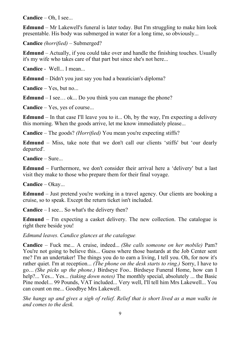**Candice** – Oh, I see...

**Edmund** – Mr Lakewell's funeral is later today. But I'm struggling to make him look presentable. His body was submerged in water for a long time, so obviously...

**Candice** *(horrified)* – Submerged?

**Edmund** – Actually, if you could take over and handle the finishing touches. Usually it's my wife who takes care of that part but since she's not here...

**Candice** - Well... I mean...

**Edmund** – Didn't you just say you had a beautician's diploma?

**Candice** – Yes, but no...

**Edmund** – I see... ok... Do you think you can manage the phone?

**Candice** – Yes, yes of course...

**Edmund** – In that case I'll leave you to it... Oh, by the way, I'm expecting a delivery this morning. When the goods arrive, let me know immediately please...

**Candice** – The goods? *(Horrified)* You mean you're expecting stiffs?

**Edmund** – Miss, take note that we don't call our clients 'stiffs' but 'our dearly departed'.

**Candice** – Sure...

**Edmund** – Furthermore, we don't consider their arrival here a 'delivery' but a last visit they make to those who prepare them for their final voyage.

**Candice** – Okay...

**Edmund** – Just pretend you're working in a travel agency. Our clients are booking a cruise, so to speak. Except the return ticket isn't included.

**Candice** – I see... So what's the delivery then?

**Edmund** – I'm expecting a casket delivery. The new collection. The catalogue is right there beside you!

*Edmund leaves. Candice glances at the catalogue.*

**Candice** – Fuck me... A cruise, indeed... *(She calls someone on her mobile)* Pam? You're not going to believe this... Guess where those bastards at the Job Center sent me? I'm an undertaker! The things you do to earn a living, I tell you. Oh, for now it's rather quiet. I'm at reception... *(The phone on the desk starts to ring.)* Sorry, I have to go... *(She picks up the phone.)* Birdseye Foo.. Birdseye Funeral Home, how can I help?... Yes... Yes... *(taking down notes)* The monthly special, absolutely ... the Basic Pine model... 99 Pounds, VAT included... Very well, I'll tell him Mrs Lakewell... You can count on me... Goodbye Mrs Lakewell.

*She hangs up and gives a sigh of relief. Relief that is short lived as a man walks in and comes to the desk.*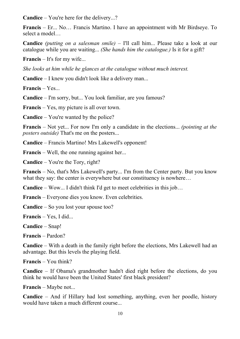**Candice** – You're here for the delivery...?

**Francis** – Er... No… Francis Martino. I have an appointment with Mr Birdseye. To select a model…

**Candice** *(putting on a salesman smile)* – I'll call him... Please take a look at our catalogue while you are waiting... *(She hands him the catalogue.)* Is it for a gift?

**Francis** – It's for my wife...

*She looks at him while he glances at the catalogue without much interest.*

**Candice** – I knew you didn't look like a delivery man...

**Francis** – Yes...

**Candice** – I'm sorry, but... You look familiar, are you famous?

**Francis** – Yes, my picture is all over town.

**Candice** – You're wanted by the police?

**Francis** – Not yet... For now I'm only a candidate in the elections... *(pointing at the posters outside)* That's me on the posters...

**Candice** – Francis Martino! Mrs Lakewell's opponent!

**Francis** – Well, the one running against her...

**Candice** – You're the Tory, right?

**Francis** – No, that's Mrs Lakewell's party... I'm from the Center party. But you know what they say: the center is everywhere but our constituency is nowhere...

**Candice** – Wow... I didn't think I'd get to meet celebrities in this job…

**Francis** – Everyone dies you know. Even celebrities.

**Candice** – So you lost your spouse too?

**Francis** – Yes, I did...

**Candice** – Snap!

**Francis** – Pardon?

**Candice** – With a death in the family right before the elections, Mrs Lakewell had an advantage. But this levels the playing field.

**Francis** – You think?

**Candice** – If Obama's grandmother hadn't died right before the elections, do you think he would have been the United States' first black president?

**Francis** – Maybe not...

**Candice** – And if Hillary had lost something, anything, even her poodle, history would have taken a much different course...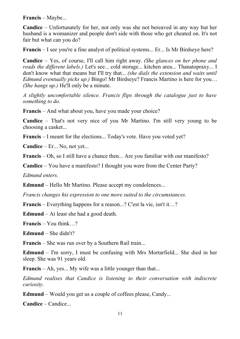**Francis** – Maybe...

**Candice** – Unfortunately for her, not only was she not bereaved in any way but her husband is a womanizer and people don't side with those who get cheated on. It's not fair but what can you do?

**Francis** – I see you're a fine analyst of political systems... Er... Is Mr Birdseye here?

**Candice** – Yes, of course, I'll call him right away. *(She glances on her phone and reads the different labels.)* Let's see... cold storage... kitchen area... Thanatopraxy... I don't know what that means but I'll try that... *(she dials the extension and waits until Edmund eventually picks up.)* Bingo! Mr Birdseye? Francis Martino is here for you… *(She hangs up.)* He'll only be a minute.

*A slightly uncomfortable silence. Francis flips through the catalogue just to have something to do.*

**Francis** – And what about you, have you made your choice?

**Candice** – That's not very nice of you Mr Martino. I'm still very young to be choosing a casket...

**Francis** – I meant for the elections... Today's vote. Have you voted yet?

**Candice** – Er... No, not yet...

**Francis** – Oh, so I still have a chance then... Are you familiar with our manifesto?

**Candice** – You have a manifesto? I thought you were from the Center Party?

*Edmund enters.*

**Edmund** – Hello Mr Martino. Please accept my condolences...

*Francis changes his expression to one more suited to the circumstances.*

**Francis** – Everything happens for a reason...? C'est la vie, isn't it…?

**Edmund** – At least she had a good death.

**Francis** – You think…?

**Edmund** – She didn't?

**Francis** – She was run over by a Southern Rail train...

**Edmund** – I'm sorry, I must be confusing with Mrs Mortarfield... She died in her sleep. She was 91 years old.

**Francis** – Ah, yes... My wife was a little younger than that...

*Edmund realises that Candice is listening to their conversation with indiscrete curiosity.*

**Edmund** – Would you get us a couple of coffees please, Candy...

**Candice** – Candice...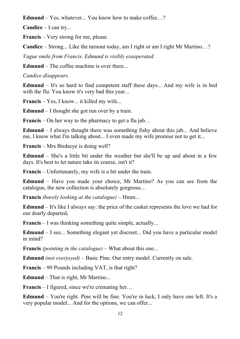**Edmund** – Yes, whatever... You know how to make coffee…?

**Candice** – I can try...

**Francis** – Very strong for me, please.

**Candice** – Strong... Like the turnout today, am I right or am I right Mr Martino…?

*Vague smile from Francis. Edmund is visibly exasperated.*

**Edmund** – The coffee machine is over there...

*Candice disappears.*

**Edmund** – It's so hard to find competent staff these days... And my wife is in bed with the flu. You know it's very bad this year...

**Francis** – Yes, I know... it killed my wife...

**Edmund** – I thought she got run over by a train.

**Francis** – On her way to the pharmacy to get a flu jab…

**Edmund** – I always thought there was something fishy about this jab... And believe me, I know what I'm talking about... I even made my wife promise not to get it...

**Francis** – Mrs Birdseye is doing well?

**Edmund** – She's a little bit under the weather but she'll be up and about in a few days. It's best to let nature take its course, isn't it?

**Francis** – Unfortunately, my wife is a bit under the train.

**Edmund** – Have you made your choice, Mr Martino? As you can see from the catalogue, the new collection is absolutely gorgeous...

**Francis** *(barely looking at the catalogue)* – Hmm...

**Edmund** – It's like I always say: the price of the casket represents the love we had for our dearly departed**.**

**Francis** – I was thinking something quite simple, actually...

**Edmund** – I see... Something elegant yet discreet... Did you have a particular model in mind?

**Francis** *(pointing in the catalogue)* – What about this one...

**Edmund** *(not overjoyed)* – Basic Pine. Our entry model. Currently on sale.

**Francis** – 99 Pounds including VAT, is that right?

**Edmund** – That is right, Mr Martino...

**Francis** – I figured, since we're cremating her…

**Edmund** – You're right. Pine will be fine. You're in luck, I only have one left. It's a very popular model... And for the options, we can offer...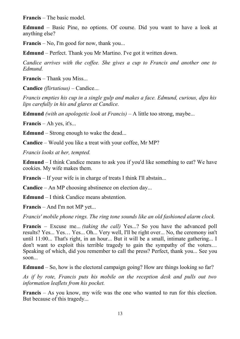**Francis** – The basic model.

**Edmund** – Basic Pine, no options. Of course. Did you want to have a look at anything else?

**Francis** – No, I'm good for now, thank you...

**Edmund** – Perfect. Thank you Mr Martino. I've got it written down.

*Candice arrives with the coffee. She gives a cup to Francis and another one to Edmund.*

**Francis** – Thank you Miss...

**Candice** *(flirtatious)* – Candice...*.*

*Francis empties his cup in a single gulp and makes a face. Edmund, curious, dips his lips carefully in his and glares at Candice.*

**Edmund** *(with an apologetic look at Francis)* – A little too strong, maybe...

**Francis** – Ah yes, it's...

**Edmund** – Strong enough to wake the dead...

**Candice** – Would you like a treat with your coffee, Mr MP?

*Francis looks at her, tempted.*

**Edmund** – I think Candice means to ask you if you'd like something to eat? We have cookies. My wife makes them.

**Francis** – If your wife is in charge of treats I think I'll abstain...

**Candice** – An MP choosing abstinence on election day...

**Edmund** – I think Candice means abstention.

**Francis** – And I'm not MP yet...

*Francis' mobile phone rings. The ring tone sounds like an old fashioned alarm clock.*

**Francis** – Excuse me... *(taking the call)* Yes...? So you have the advanced poll results? Yes... Yes… Yes... Oh... Very well, I'll be right over... No, the ceremony isn't until 11:00... That's right, in an hour... But it will be a small, intimate gathering... I don't want to exploit this terrible tragedy to gain the sympathy of the voters… Speaking of which, did you remember to call the press? Perfect, thank you... See you soon...

**Edmund** – So, how is the electoral campaign going? How are things looking so far?

*As if by rote, Francis puts his mobile on the reception desk and pulls out two information leaflets from his pocket.*

**Francis** – As you know, my wife was the one who wanted to run for this election. But because of this tragedy...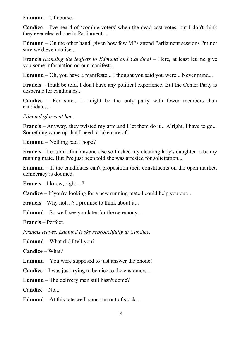**Edmund** – Of course...

**Candice** – I've heard of 'zombie voters' when the dead cast votes, but I don't think they ever elected one in Parliament…

**Edmund** – On the other hand, given how few MPs attend Parliament sessions I'm not sure we'd even notice...

**Francis** *(handing the leaflets to Edmund and Candice)* – Here, at least let me give you some information on our manifesto.

**Edmund** – Oh, you have a manifesto... I thought you said you were... Never mind...

**Francis** – Truth be told, I don't have any political experience. But the Center Party is desperate for candidates...

**Candice** – For sure... It might be the only party with fewer members than candidates...

*Edmund glares at her.*

**Francis** – Anyway, they twisted my arm and I let them do it... Alright, I have to go... Something came up that I need to take care of.

**Edmund** – Nothing bad I hope?

**Francis** – I couldn't find anyone else so I asked my cleaning lady's daughter to be my running mate. But I've just been told she was arrested for solicitation...

**Edmund** – If the candidates can't proposition their constituents on the open market, democracy is doomed.

**Francis** – I know, right…?

**Candice** – If you're looking for a new running mate I could help you out...

**Francis** – Why not…? I promise to think about it...

**Edmund** – So we'll see you later for the ceremony...

**Francis** – Perfect.

*Francis leaves. Edmund looks reproachfully at Candice.*

**Edmund** – What did I tell you?

**Candice** – What?

**Edmund** – You were supposed to just answer the phone!

**Candice** – I was just trying to be nice to the customers...

**Edmund** – The delivery man still hasn't come?

**Candice** – No...

**Edmund** – At this rate we'll soon run out of stock...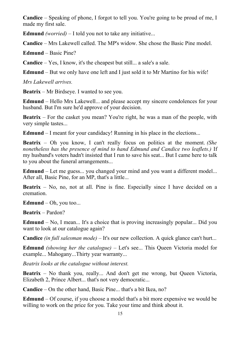**Candice** – Speaking of phone, I forgot to tell you. You're going to be proud of me, I made my first sale.

**Edmund** *(worried)* – I told you not to take any initiative...

**Candice** – Mrs Lakewell called. The MP's widow. She chose the Basic Pine model.

**Edmund** – Basic Pine?

**Candice** – Yes, I know, it's the cheapest but still... a sale's a sale.

**Edmund** – But we only have one left and I just sold it to Mr Martino for his wife!

*Mrs Lakewell arrives.*

**Beatrix** – Mr Birdseye. I wanted to see you.

**Edmund** – Hello Mrs Lakewell... and please accept my sincere condolences for your husband. But I'm sure he'd approve of your decision.

**Beatrix** – For the casket you mean? You're right, he was a man of the people, with very simple tastes...

**Edmund** – I meant for your candidacy! Running in his place in the elections...

**Beatrix** – Oh you know, I can't really focus on politics at the moment. *(She nonetheless has the presence of mind to hand Edmund and Candice two leaflets.)* If my husband's voters hadn't insisted that I run to save his seat... But I came here to talk to you about the funeral arrangements...

**Edmund** – Let me guess... you changed your mind and you want a different model... After all, Basic Pine, for an MP, that's a little...

**Beatrix** – No, no, not at all. Pine is fine. Especially since I have decided on a cremation.

**Edmund** – Oh, you too...

**Beatrix** – Pardon?

**Edmund** – No, I mean... It's a choice that is proving increasingly popular... Did you want to look at our catalogue again?

**Candice** *(in full salesman mode)* – It's our new collection. A quick glance can't hurt...

**Edmund** *(showing her the catalogue)* – Let's see... This Queen Victoria model for example... Mahogany...Thirty year warranty...

*Beatrix looks at the catalogue without interest.*

**Beatrix** – No thank you, really... And don't get me wrong, but Queen Victoria, Elizabeth 2, Prince Albert... that's not very democratic...

**Candice** – On the other hand, Basic Pine... that's a bit Ikea, no?

**Edmund** – Of course, if you choose a model that's a bit more expensive we would be willing to work on the price for you. Take your time and think about it.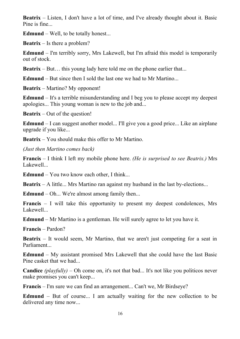**Beatrix** – Listen, I don't have a lot of time, and I've already thought about it. Basic Pine is fine...

**Edmund** – Well, to be totally honest...

**Beatrix** – Is there a problem?

**Edmund** – I'm terribly sorry, Mrs Lakewell, but I'm afraid this model is temporarily out of stock.

**Beatrix** – But... this young lady here told me on the phone earlier that...

**Edmund** – But since then I sold the last one we had to Mr Martino...

**Beatrix** – Martino? My opponent!

**Edmund** – It's a terrible misunderstanding and I beg you to please accept my deepest apologies... This young woman is new to the job and...

**Beatrix** – Out of the question!

**Edmund** – I can suggest another model... I'll give you a good price... Like an airplane upgrade if you like...

**Beatrix** – You should make this offer to Mr Martino.

*(Just then Martino comes back)*

**Francis** – I think I left my mobile phone here. *(He is surprised to see Beatrix.)* Mrs Lakewell...

**Edmund** – You two know each other, I think...

**Beatrix** – A little... Mrs Martino ran against my husband in the last by-elections...

**Edmund** – Oh... We're almost among family then...

**Francis** – I will take this opportunity to present my deepest condolences, Mrs Lakewell.

**Edmund** – Mr Martino is a gentleman. He will surely agree to let you have it.

**Francis** – Pardon?

**Beatrix** – It would seem, Mr Martino, that we aren't just competing for a seat in Parliament...

**Edmund** – My assistant promised Mrs Lakewell that she could have the last Basic Pine casket that we had...

**Candice** *(playfully)* – Oh come on, it's not that bad... It's not like you politicos never make promises you can't keep...

**Francis** – I'm sure we can find an arrangement... Can't we, Mr Birdseye?

**Edmund** – But of course... I am actually waiting for the new collection to be delivered any time now...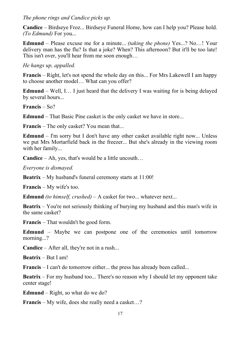#### *The phone rings and Candice picks up.*

**Candice** – Birdseye Froz... Birdseye Funeral Home, how can I help you? Please hold. *(To Edmund)* For you...

**Edmund** – Please excuse me for a minute... *(taking the phone)* Yes...? No…! Your delivery man has the flu? Is that a joke? When? This afternoon? But it'll be too late! This isn't over, you'll hear from me soon enough…

*He hangs up, appalled.*

**Francis** – Right, let's not spend the whole day on this... For Mrs Lakewell I am happy to choose another model… What can you offer?

**Edmund** – Well, I… I just heard that the delivery I was waiting for is being delayed by several hours...

**Francis** – So?

**Edmund** – That Basic Pine casket is the only casket we have in store...

**Francis** – The only casket? You mean that...

**Edmund** – I'm sorry but I don't have any other casket available right now... Unless we put Mrs Mortarfield back in the freezer... But she's already in the viewing room with her family...

**Candice** – Ah, yes, that's would be a little uncouth…

*Everyone is dismayed.*

**Beatrix** – My husband's funeral ceremony starts at 11:00!

**Francis** – My wife's too.

**Edmund** *(to himself, crushed)* – A casket for two... whatever next...

**Beatrix** – You're not seriously thinking of burying my husband and this man's wife in the same casket?

**Francis** – That wouldn't be good form.

**Edmund** – Maybe we can postpone one of the ceremonies until tomorrow morning...?

**Candice** – After all, they're not in a rush...

**Beatrix** – But I am!

**Francis** – I can't do tomorrow either... the press has already been called...

**Beatrix** – For my husband too... There's no reason why I should let my opponent take center stage!

**Edmund** – Right, so what do we do?

**Francis** – My wife, does she really need a casket…?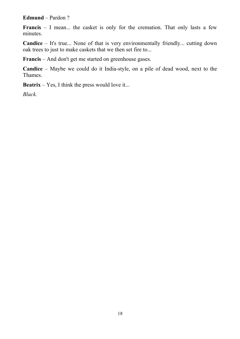#### **Edmund** – Pardon ?

**Francis** – I mean... the casket is only for the cremation. That only lasts a few minutes.

**Candice** – It's true... None of that is very environmentally friendly... cutting down oak trees to just to make caskets that we then set fire to...

**Francis** – And don't get me started on greenhouse gases.

**Candice** – Maybe we could do it India-style, on a pile of dead wood, next to the Thames.

**Beatrix** – Yes, I think the press would love it...

*Black.*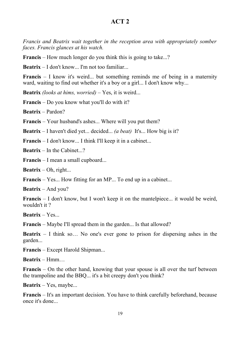#### **ACT 2**

*Francis and Beatrix wait together in the reception area with appropriately somber faces. Francis glances at his watch.*

**Francis** – How much longer do you think this is going to take...?

**Beatrix** – I don't know... I'm not too familiar...

**Francis** – I know it's weird... but something reminds me of being in a maternity ward, waiting to find out whether it's a boy or a girl... I don't know why...

**Beatrix** *(looks at hims, worried)* – Yes, it is weird...

**Francis** – Do you know what you'll do with it?

**Beatrix** – Pardon?

**Francis** – Your husband's ashes... Where will you put them?

**Beatrix** – I haven't died yet... decided... *(a beat)* It's... How big is it?

**Francis** – I don't know... I think I'll keep it in a cabinet...

**Beatrix** – In the Cabinet...?

**Francis** – I mean a small cupboard...

**Beatrix** – Oh, right...

**Francis** – Yes... How fitting for an MP... To end up in a cabinet...

**Beatrix** – And you?

**Francis** – I don't know, but I won't keep it on the mantelpiece... it would be weird, wouldn't it ?

**Beatrix** – Yes...

**Francis** – Maybe I'll spread them in the garden... Is that allowed?

**Beatrix** – I think so… No one's ever gone to prison for dispersing ashes in the garden...

**Francis** – Except Harold Shipman...

**Beatrix** – Hmm…

**Francis** – On the other hand, knowing that your spouse is all over the turf between the trampoline and the BBQ... it's a bit creepy don't you think?

**Beatrix** – Yes, maybe...

**Francis** – It's an important decision. You have to think carefully beforehand, because once it's done...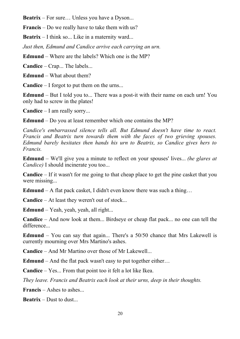**Beatrix** – For sure... Unless you have a Dyson...

**Francis** – Do we really have to take them with us?

**Beatrix** – I think so... Like in a maternity ward...

*Just then, Edmund and Candice arrive each carrying an urn.*

**Edmund** – Where are the labels? Which one is the MP?

**Candice** – Crap... The labels...

**Edmund** – What about them?

**Candice** – I forgot to put them on the urns...

**Edmund** – But I told you to... There was a post-it with their name on each urn! You only had to screw in the plates!

**Candice** – I am really sorry...

**Edmund** – Do you at least remember which one contains the MP?

*Candice's embarrassed silence tells all. But Edmund doesn't have time to react. Francis and Beatrix turn towards them with the faces of two grieving spouses. Edmund barely hesitates then hands his urn to Beatrix, so Candice gives hers to Francis.*

**Edmund** – We'll give you a minute to reflect on your spouses' lives... *(he glares at Candice)* I should incinerate you too...

**Candice** – If it wasn't for me going to that cheap place to get the pine casket that you were missing...

**Edmund** – A flat pack casket, I didn't even know there was such a thing…

**Candice** – At least they weren't out of stock...

**Edmund** – Yeah, yeah, yeah, all right...

**Candice** – And now look at them... Birdseye or cheap flat pack... no one can tell the difference...

**Edmund** – You can say that again... There's a 50/50 chance that Mrs Lakewell is currently mourning over Mrs Martino's ashes.

**Candice** – And Mr Martino over those of Mr Lakewell...

**Edmund** – And the flat pack wasn't easy to put together either…

**Candice** – Yes... From that point too it felt a lot like Ikea.

*They leave. Francis and Beatrix each look at their urns, deep in their thoughts.*

**Francis** – Ashes to ashes...

**Beatrix** – Dust to dust...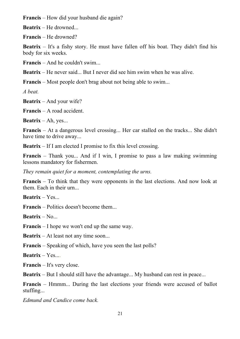**Francis** – How did your husband die again?

**Beatrix** – He drowned...

**Francis** – He drowned?

**Beatrix** – It's a fishy story. He must have fallen off his boat. They didn't find his body for six weeks.

**Francis** – And he couldn't swim...

**Beatrix** – He never said... But I never did see him swim when he was alive.

**Francis** – Most people don't brag about not being able to swim...

*A beat.*

**Beatrix** – And your wife?

**Francis** – A road accident.

**Beatrix** – Ah, yes...

**Francis** – At a dangerous level crossing... Her car stalled on the tracks... She didn't have time to drive away...

**Beatrix** – If I am elected I promise to fix this level crossing.

**Francis** – Thank you... And if I win, I promise to pass a law making swimming lessons mandatory for fishermen.

*They remain quiet for a moment, contemplating the urns.*

**Francis** – To think that they were opponents in the last elections. And now look at them. Each in their urn...

**Beatrix** – Yes...

**Francis** – Politics doesn't become them...

**Beatrix** – No...

**Francis** – I hope we won't end up the same way.

**Beatrix** – At least not any time soon...

**Francis** – Speaking of which, have you seen the last polls?

**Beatrix** – Yes....

**Francis** – It's very close.

**Beatrix** – But I should still have the advantage... My husband can rest in peace...

**Francis** – Hmmm... During the last elections your friends were accused of ballot stuffing...

*Edmund and Candice come back.*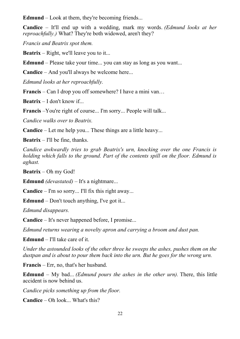**Edmund** – Look at them, they're becoming friends...

**Candice** – It'll end up with a wedding, mark my words. *(Edmund looks at her reproachfully.)* What? They're both widowed, aren't they?

*Francis and Beatrix spot them.*

**Beatrix** – Right, we'll leave you to it...

**Edmund** – Please take your time... you can stay as long as you want...

**Candice** – And you'll always be welcome here...

*Edmund looks at her reproachfully.*

**Francis** – Can I drop you off somewhere? I have a mini van…

**Beatrix** – I don't know if...

**Francis** –You're right of course... I'm sorry... People will talk...

*Candice walks over to Beatrix.*

**Candice** – Let me help you... These things are a little heavy...

**Beatrix** – I'll be fine, thanks.

*Candice awkwardly tries to grab Beatrix's urn, knocking over the one Francis is holding which falls to the ground. Part of the contents spill on the floor. Edmund is aghast.*

**Beatrix** – Oh my God!

**Edmund** *(devastated)* – It's a nightmare...

**Candice** – I'm so sorry... I'll fix this right away...

**Edmund** – Don't touch anything, I've got it...

*Edmund disappears.*

**Candice** – It's never happened before, I promise...

*Edmund returns wearing a novelty apron and carrying a broom and dust pan.*

**Edmund** – I'll take care of it.

*Under the astounded looks of the other three he sweeps the ashes, pushes them on the dustpan and is about to pour them back into the urn. But he goes for the wrong urn.*

**Francis** – Err, no, that's her husband.

**Edmund** – My bad... *(Edmund pours the ashes in the other urn).* There, this little accident is now behind us.

*Candice picks something up from the floor.*

**Candice** – Oh look... What's this?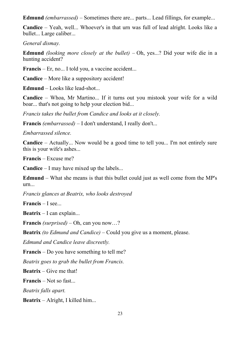**Edmund** *(embarrassed)* – Sometimes there are... parts... Lead fillings, for example...

**Candice** – Yeah, well... Whoever's in that urn was full of lead alright. Looks like a bullet... Large caliber...

*General dismay.*

**Edmund** *(looking more closely at the bullet) –* Oh, yes...? Did your wife die in a hunting accident?

**Francis** – Er, no... I told you, a vaccine accident...

**Candice** – More like a suppository accident!

**Edmund** – Looks like lead-shot...

**Candice** – Whoa, Mr Martino... If it turns out you mistook your wife for a wild boar... that's not going to help your election bid...

*Francis takes the bullet from Candice and looks at it closely.*

**Francis** *(embarrassed)* – I don't understand, I really don't...

*Embarrassed silence.*

**Candice** – Actually... Now would be a good time to tell you... I'm not entirely sure this is your wife's ashes...

**Francis** – Excuse me?

**Candice** – I may have mixed up the labels...

**Edmund** – What she means is that this bullet could just as well come from the MP's urn...

*Francis glances at Beatrix, who looks destroyed*

**Francis** – I see...

**Beatrix** – I can explain...

**Francis** *(surprised) –* Oh, can you now…?

**Beatrix** *(to Edmund and Candice)* – Could you give us a moment, please.

*Edmund and Candice leave discreetly.*

**Francis** – Do you have something to tell me?

*Beatrix goes to grab the bullet from Francis.*

**Beatrix** – Give me that!

**Francis** – Not so fast...

*Beatrix falls apart.*

**Beatrix** – Alright, I killed him...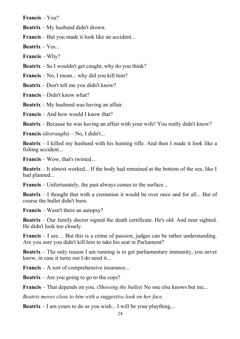**Francis** – You?

**Beatrix** – My husband didn't drown.

**Francis** – But you made it look like an accident...

**Beatrix** – Yes...

**Francis** – Why?

**Beatrix** – So I wouldn't get caught, why do you think?

**Francis** – No, I mean... why did you kill him?

**Beatrix** – Don't tell me you didn't know?

**Francis** – Didn't know what?

**Beatrix** – My husband was having an affair.

**Francis** – And how would I know that?

**Beatrix** – Because he was having an affair with your wife! You really didn't know?

**Francis** *(distraught)* – No, I didn't...

**Beatrix** – I killed my husband with his hunting rifle. And then I made it look like a fishing accident...

**Francis** – Wow, that's twisted...

**Beatrix** – It almost worked... If the body had remained at the bottom of the sea, like I had planned...

**Francis** – Unfortunately, the past always comes to the surface...

**Beatrix** – I thought that with a cremation it would be over once and for all... But of course the bullet didn't burn.

**Francis** – Wasn't there an autopsy?

**Beatrix** – Our family doctor signed the death certificate. He's old. And near sighted. He didn't look too closely.

**Francis** – I see… But this is a crime of passion, judges can be rather understanding. Are you sure you didn't kill him to take his seat in Parliament?

**Beatrix** – The only reason I am running is to get parliamentary immunity, you never know, in case it turns out I do need it...

**Francis** – A sort of comprehensive insurance...

**Beatrix** – Are you going to go to the cops?

**Francis** – That depends on you. *(Showing the bullet)* No one else knows but me...

*Beatrix moves close to him with a suggestive look on her face.*

**Beatrix** – I am yours to do as you wish... I will be your plaything...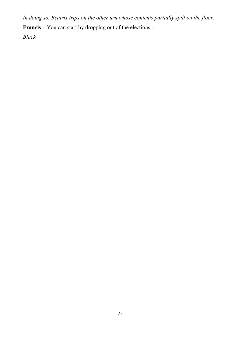*In doing so, Beatrix trips on the other urn whose contents partially spill on the floor.*

**Francis** – You can start by dropping out of the elections...

*Black*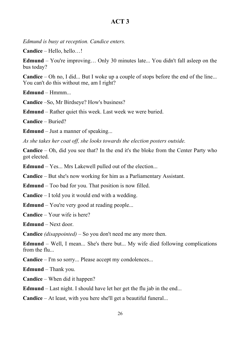#### **ACT 3**

*Edmund is busy at reception. Candice enters.*

**Candice** – Hello, hello…!

**Edmund** – You're improving… Only 30 minutes late... You didn't fall asleep on the bus today?

**Candice** – Oh no, I did... But I woke up a couple of stops before the end of the line... You can't do this without me, am I right?

**Edmund** – Hmmm...

**Candice** –So, Mr Birdseye? How's business?

**Edmund** – Rather quiet this week. Last week we were buried.

**Candice** – Buried?

**Edmund** – Just a manner of speaking...

*As she takes her coat off, she looks towards the election posters outside.*

**Candice** – Oh, did you see that? In the end it's the bloke from the Center Party who got elected.

**Edmund** – Yes... Mrs Lakewell pulled out of the election...

**Candice** – But she's now working for him as a Parliamentary Assistant.

**Edmund** – Too bad for you. That position is now filled.

**Candice** – I told you it would end with a wedding.

**Edmund** – You're very good at reading people...

**Candice** – Your wife is here?

**Edmund** – Next door.

**Candice** *(disappointed)* – So you don't need me any more then.

**Edmund** – Well, I mean... She's there but... My wife died following complications from the flu...

**Candice** – I'm so sorry... Please accept my condolences...

**Edmund** – Thank you.

**Candice** – When did it happen?

**Edmund** – Last night. I should have let her get the flu jab in the end...

**Candice** – At least, with you here she'll get a beautiful funeral...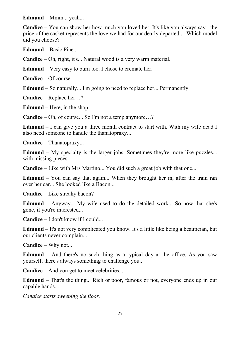**Edmund** – Mmm... yeah...

**Candice** – You can show her how much you loved her. It's like you always say : the price of the casket represents the love we had for our dearly departed.... Which model did you choose?

**Edmund** – Basic Pine...

**Candice** – Oh, right, it's... Natural wood is a very warm material.

**Edmund** – Very easy to burn too. I chose to cremate her.

**Candice** – Of course.

**Edmund** – So naturally... I'm going to need to replace her... Permanently.

**Candice** – Replace her…?

**Edmund** – Here, in the shop.

**Candice** – Oh, of course... So I'm not a temp anymore...?

**Edmund** – I can give you a three month contract to start with. With my wife dead I also need someone to handle the thanatopraxy...

**Candice** – Thanatopraxy...

**Edmund** – My specialty is the larger jobs. Sometimes they're more like puzzles... with missing pieces...

**Candice** – Like with Mrs Martino... You did such a great job with that one...

**Edmund** – You can say that again... When they brought her in, after the train ran over her car... She looked like a Bacon...

**Candice** – Like streaky bacon?

**Edmund** – Anyway... My wife used to do the detailed work... So now that she's gone, if you're interested...

**Candice** – I don't know if I could...

**Edmund** – It's not very complicated you know. It's a little like being a beautician, but our clients never complain...

**Candice** – Why not...

**Edmund** – And there's no such thing as a typical day at the office. As you saw yourself, there's always something to challenge you...

**Candice** – And you get to meet celebrities...

**Edmund** – That's the thing... Rich or poor, famous or not, everyone ends up in our capable hands...

*Candice starts sweeping the floor.*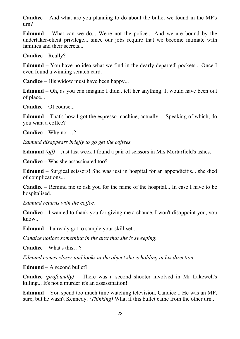**Candice** – And what are you planning to do about the bullet we found in the MP's urn?

**Edmund** – What can we do... We're not the police... And we are bound by the undertaker-client privilege... since our jobs require that we become intimate with families and their secrets...

**Candice** – Really?

**Edmund** – You have no idea what we find in the dearly departed' pockets... Once I even found a winning scratch card.

**Candice** – His widow must have been happy...

**Edmund** – Oh, as you can imagine I didn't tell her anything. It would have been out of place...

**Candice** – Of course...

**Edmund** – That's how I got the espresso machine, actually… Speaking of which, do you want a coffee?

**Candice** – Why not…?

*Edmund disappears briefly to go get the coffees.*

**Edmund** *(off)* – Just last week I found a pair of scissors in Mrs Mortarfield's ashes.

**Candice** – Was she assassinated too?

**Edmund** – Surgical scissors! She was just in hospital for an appendicitis... she died of complications...

**Candice** – Remind me to ask you for the name of the hospital... In case I have to be hospitalised.

*Edmund returns with the coffee.*

**Candice** – I wanted to thank you for giving me a chance. I won't disappoint you, you know...

**Edmund** – I already got to sample your skill-set...

*Candice notices something in the dust that she is sweeping.*

**Candice** – What's this…?

*Edmund comes closer and looks at the object she is holding in his direction.*

**Edmund** – A second bullet?

**Candice** *(profoundly)* – There was a second shooter involved in Mr Lakewell's killing... It's not a murder it's an assassination!

**Edmund** – You spend too much time watching television, Candice... He was an MP, sure, but he wasn't Kennedy. *(Thinking)* What if this bullet came from the other urn...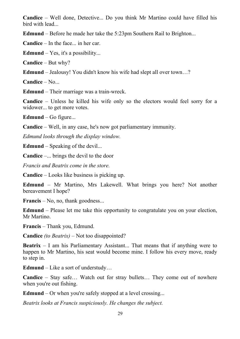**Candice** – Well done, Detective... Do you think Mr Martino could have filled his bird with lead...

**Edmund** – Before he made her take the 5:23pm Southern Rail to Brighton...

**Candice** – In the face... in her car.

**Edmund** – Yes, it's a possibility...

**Candice** – But why?

**Edmund** – Jealousy! You didn't know his wife had slept all over town…?

**Candice** – No...

**Edmund** – Their marriage was a train-wreck.

**Candice** – Unless he killed his wife only so the electors would feel sorry for a widower... to get more votes.

**Edmund** – Go figure...

**Candice** – Well, in any case, he's now got parliamentary immunity.

*Edmund looks through the display window.*

**Edmund** – Speaking of the devil...

**Candice** –... brings the devil to the door

*Francis and Beatrix come in the store.*

**Candice** – Looks like business is picking up.

**Edmund** – Mr Martino, Mrs Lakewell. What brings you here? Not another bereavement I hope?

**Francis** – No, no, thank goodness...

**Edmund** – Please let me take this opportunity to congratulate you on your election, Mr Martino.

**Francis** – Thank you, Edmund.

**Candice** *(to Beatrix)* – Not too disappointed?

**Beatrix** – I am his Parliamentary Assistant... That means that if anything were to happen to Mr Martino, his seat would become mine. I follow his every move, ready to step in.

**Edmund** – Like a sort of understudy…

**Candice** – Stay safe… Watch out for stray bullets… They come out of nowhere when you're out fishing.

**Edmund** – Or when you're safely stopped at a level crossing...

*Beatrix looks at Francis suspiciously. He changes the subject.*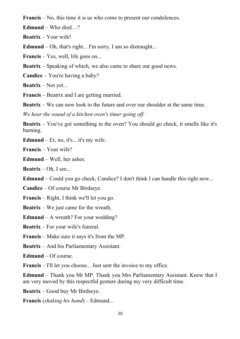**Francis** – No, this time it is us who come to present our condolences.

**Edmund** – Who died…?

**Beatrix** – Your wife!

**Edmund** – Oh, that's right... I'm sorry, I am so distraught...

**Francis** – Yes, well, life goes on...

**Beatrix** – Speaking of which, we also came to share our good news.

**Candice** – You're having a baby?

**Beatrix** – Not yet...

**Francis** – Beatrix and I are getting married.

**Beatrix** – We can now look to the future and over our shoulder at the same time.

*We hear the sound of a kitchen oven's timer going off.*

**Beatrix** – You've got something in the oven? You should go check, it smells like it's burning.

**Edmund** – Er, no, it's... it's my wife.

**Francis** – Your wife?

**Edmund** – Well, her ashes.

**Beatrix** – Oh, I see...

**Edmund** – Could you go check, Candice? I don't think I can handle this right now...

**Candice** – Of course Mr Birdseye.

**Francis** – Right, I think we'll let you go.

**Beatrix** – We just came for the wreath.

**Edmund** – A wreath? For your wedding?

**Beatrix** – For your wife's funeral.

**Francis** – Make sure it says it's from the MP.

**Beatrix** – And his Parliamentary Assistant.

**Edmund** – Of course.

**Francis** – I'll let you choose... Just sent the invoice to my office.

**Edmund** – Thank you Mr MP. Thank you Mrs Parliamentary Assistant. Know that I am very moved by this respectful gesture during my very difficult time.

**Beatrix** – Good buy Mr Birdseye.

**Francis** (*shaking his hand*) – Edmund...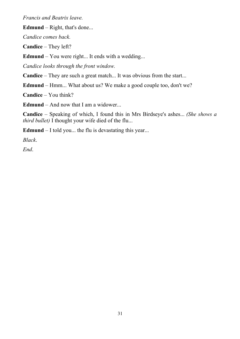*Francis and Beatrix leave.*

**Edmund** – Right, that's done...

*Candice comes back.*

**Candice** – They left?

**Edmund** – You were right... It ends with a wedding...

*Candice looks through the front window.*

**Candice** – They are such a great match... It was obvious from the start...

**Edmund** – Hmm... What about us? We make a good couple too, don't we?

**Candice** – You think?

**Edmund** – And now that I am a widower...

**Candice** – Speaking of which, I found this in Mrs Birdseye's ashes... *(She shows a third bullet*)  $\overline{I}$  thought your wife died of the flu...

**Edmund** – I told you... the flu is devastating this year...

*Black*.

*End*.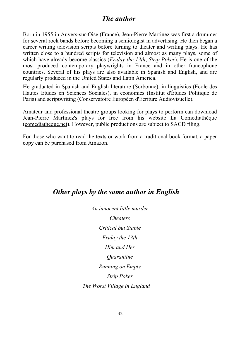### *The author*

Born in 1955 in Auvers-sur-Oise (France), Jean-Pierre Martinez was first a drummer for several rock bands before becoming a semiologist in advertising. He then began a career writing television scripts before turning to theater and writing plays. He has written close to a hundred scripts for television and almost as many plays, some of which have already become classics (*Friday the 13th*, *Strip Poker*). He is one of the most produced contemporary playwrights in France and in other francophone countries. Several of his plays are also available in Spanish and English, and are regularly produced in the United States and Latin America.

He graduated in Spanish and English literature (Sorbonne), in linguistics (Ecole des Hautes Etudes en Sciences Sociales), in economics (Institut d'Études Politique de Paris) and scriptwriting (Conservatoire Européen d'Ecriture Audiovisuelle).

Amateur and professional theatre groups looking for plays to perform can download Jean-Pierre Martinez's plays for free from his website La Comediathèque (comediatheque.net). However, public productions are subject to SACD filing.

For those who want to read the texts or work from a traditional book format, a paper copy can be purchased from Amazon.

## *Other plays by the same author in English*

*An innocent little murder Cheaters Critical but Stable Friday the 13th Him and Her Quarantine Running on Empty Strip Poker The Worst Village in England*